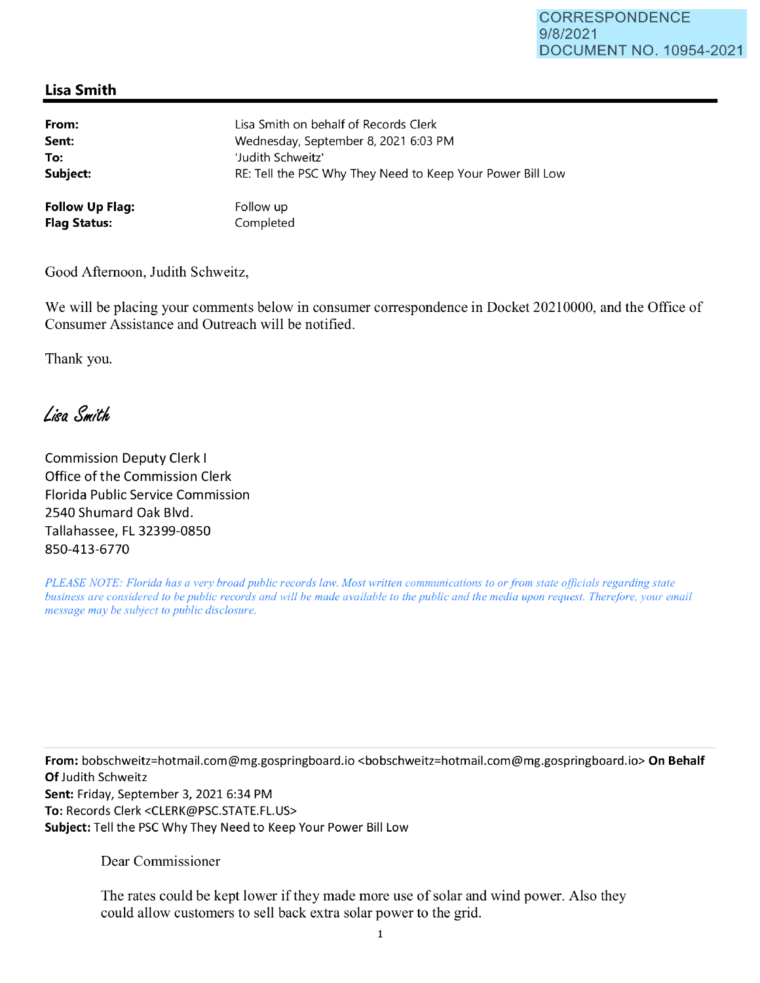## **Lisa Smith**

| From:                  | Lisa Smith on behalf of Records Clerk                      |
|------------------------|------------------------------------------------------------|
| Sent:                  | Wednesday, September 8, 2021 6:03 PM                       |
| To:                    | 'Judith Schweitz'                                          |
| Subject:               | RE: Tell the PSC Why They Need to Keep Your Power Bill Low |
| <b>Follow Up Flag:</b> | Follow up                                                  |
| <b>Flag Status:</b>    | Completed                                                  |

Good Afternoon, Judith Schweitz,

We will be placing your comments below in consumer correspondence in Docket 20210000, and the Office of Consumer Assistance and Outreach will be notified.

Thank you.

Lisa Smith

Commission Deputy Clerk I Office of the Commission Clerk Florida Public Service Commission 2540 Shumard Oak Blvd. Tallahassee, FL 32399-0850 850-413-6770

*PLEASE NOTE: Florida has a very broad public records law. Most written communications to or from state officials regarding state business are considered to be public records and will be made available to the public and the media upon request. Therefore, your email message may be subject to public disclosure.* 

**From:** bobschweitz=hotmail.com@mg.gospringboard.io <bobschweitz=hotmail.com@mg.gospringboard.io> **On Behalf Of** Judith Schweitz **Sent:** Friday, September 3, 2021 6:34 PM **To:** Records Clerk <CLERK@PSC.STATE.FL.US> **Subject:** Tell the PSC Why They Need to Keep Your Power Bill Low

Dear Commissioner

The rates could be kept lower if they made more use of solar and wind power. Also they could allow customers to sell back extra solar power to the grid.